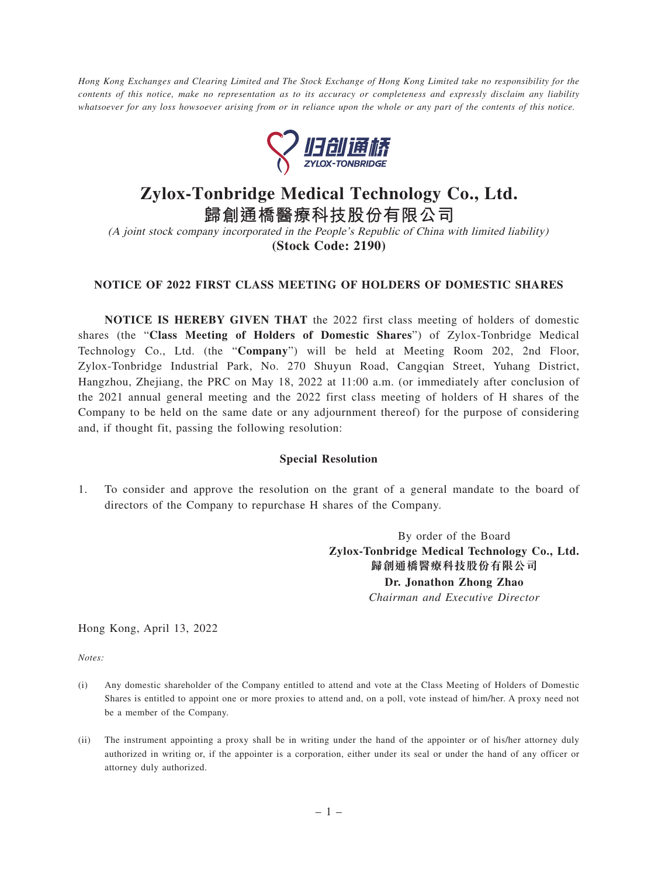*Hong Kong Exchanges and Clearing Limited and The Stock Exchange of Hong Kong Limited take no responsibility for the contents of this notice, make no representation as to its accuracy or completeness and expressly disclaim any liability whatsoever for any loss howsoever arising from or in reliance upon the whole or any part of the contents of this notice.*



## **Zylox-Tonbridge Medical Technology Co., Ltd.**

**歸創通橋醫療科技股份有限公司** (A joint stock company incorporated in the People's Republic of China with limited liability)

**(Stock Code: 2190)**

## **NOTICE OF 2022 FIRST CLASS MEETING OF HOLDERS OF DOMESTIC SHARES**

**NOTICE IS HEREBY GIVEN THAT** the 2022 first class meeting of holders of domestic shares (the "**Class Meeting of Holders of Domestic Shares**") of Zylox-Tonbridge Medical Technology Co., Ltd. (the "**Company**") will be held at Meeting Room 202, 2nd Floor, Zylox-Tonbridge Industrial Park, No. 270 Shuyun Road, Cangqian Street, Yuhang District, Hangzhou, Zhejiang, the PRC on May 18, 2022 at 11:00 a.m. (or immediately after conclusion of the 2021 annual general meeting and the 2022 first class meeting of holders of H shares of the Company to be held on the same date or any adjournment thereof) for the purpose of considering and, if thought fit, passing the following resolution:

## **Special Resolution**

1. To consider and approve the resolution on the grant of a general mandate to the board of directors of the Company to repurchase H shares of the Company.

> By order of the Board **Zylox-Tonbridge Medical Technology Co., Ltd. 歸創通橋醫療科技股份有限公司 Dr. Jonathon Zhong Zhao** *Chairman and Executive Director*

Hong Kong, April 13, 2022

*Notes:*

- (i) Any domestic shareholder of the Company entitled to attend and vote at the Class Meeting of Holders of Domestic Shares is entitled to appoint one or more proxies to attend and, on a poll, vote instead of him/her. A proxy need not be a member of the Company.
- (ii) The instrument appointing a proxy shall be in writing under the hand of the appointer or of his/her attorney duly authorized in writing or, if the appointer is a corporation, either under its seal or under the hand of any officer or attorney duly authorized.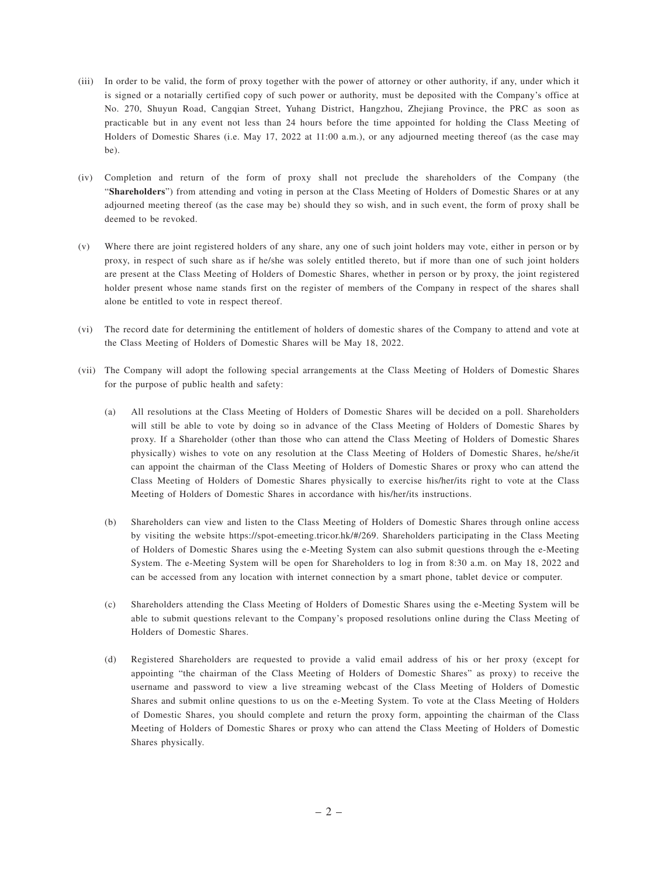- (iii) In order to be valid, the form of proxy together with the power of attorney or other authority, if any, under which it is signed or a notarially certified copy of such power or authority, must be deposited with the Company's office at No. 270, Shuyun Road, Cangqian Street, Yuhang District, Hangzhou, Zhejiang Province, the PRC as soon as practicable but in any event not less than 24 hours before the time appointed for holding the Class Meeting of Holders of Domestic Shares (i.e. May 17, 2022 at 11:00 a.m.), or any adjourned meeting thereof (as the case may be).
- (iv) Completion and return of the form of proxy shall not preclude the shareholders of the Company (the "**Shareholders**") from attending and voting in person at the Class Meeting of Holders of Domestic Shares or at any adjourned meeting thereof (as the case may be) should they so wish, and in such event, the form of proxy shall be deemed to be revoked.
- (v) Where there are joint registered holders of any share, any one of such joint holders may vote, either in person or by proxy, in respect of such share as if he/she was solely entitled thereto, but if more than one of such joint holders are present at the Class Meeting of Holders of Domestic Shares, whether in person or by proxy, the joint registered holder present whose name stands first on the register of members of the Company in respect of the shares shall alone be entitled to vote in respect thereof.
- (vi) The record date for determining the entitlement of holders of domestic shares of the Company to attend and vote at the Class Meeting of Holders of Domestic Shares will be May 18, 2022.
- (vii) The Company will adopt the following special arrangements at the Class Meeting of Holders of Domestic Shares for the purpose of public health and safety:
	- (a) All resolutions at the Class Meeting of Holders of Domestic Shares will be decided on a poll. Shareholders will still be able to vote by doing so in advance of the Class Meeting of Holders of Domestic Shares by proxy. If a Shareholder (other than those who can attend the Class Meeting of Holders of Domestic Shares physically) wishes to vote on any resolution at the Class Meeting of Holders of Domestic Shares, he/she/it can appoint the chairman of the Class Meeting of Holders of Domestic Shares or proxy who can attend the Class Meeting of Holders of Domestic Shares physically to exercise his/her/its right to vote at the Class Meeting of Holders of Domestic Shares in accordance with his/her/its instructions.
	- (b) Shareholders can view and listen to the Class Meeting of Holders of Domestic Shares through online access by visiting the website https://spot-emeeting.tricor.hk/#/269. Shareholders participating in the Class Meeting of Holders of Domestic Shares using the e-Meeting System can also submit questions through the e-Meeting System. The e-Meeting System will be open for Shareholders to log in from 8:30 a.m. on May 18, 2022 and can be accessed from any location with internet connection by a smart phone, tablet device or computer.
	- (c) Shareholders attending the Class Meeting of Holders of Domestic Shares using the e-Meeting System will be able to submit questions relevant to the Company's proposed resolutions online during the Class Meeting of Holders of Domestic Shares.
	- (d) Registered Shareholders are requested to provide a valid email address of his or her proxy (except for appointing "the chairman of the Class Meeting of Holders of Domestic Shares" as proxy) to receive the username and password to view a live streaming webcast of the Class Meeting of Holders of Domestic Shares and submit online questions to us on the e-Meeting System. To vote at the Class Meeting of Holders of Domestic Shares, you should complete and return the proxy form, appointing the chairman of the Class Meeting of Holders of Domestic Shares or proxy who can attend the Class Meeting of Holders of Domestic Shares physically.